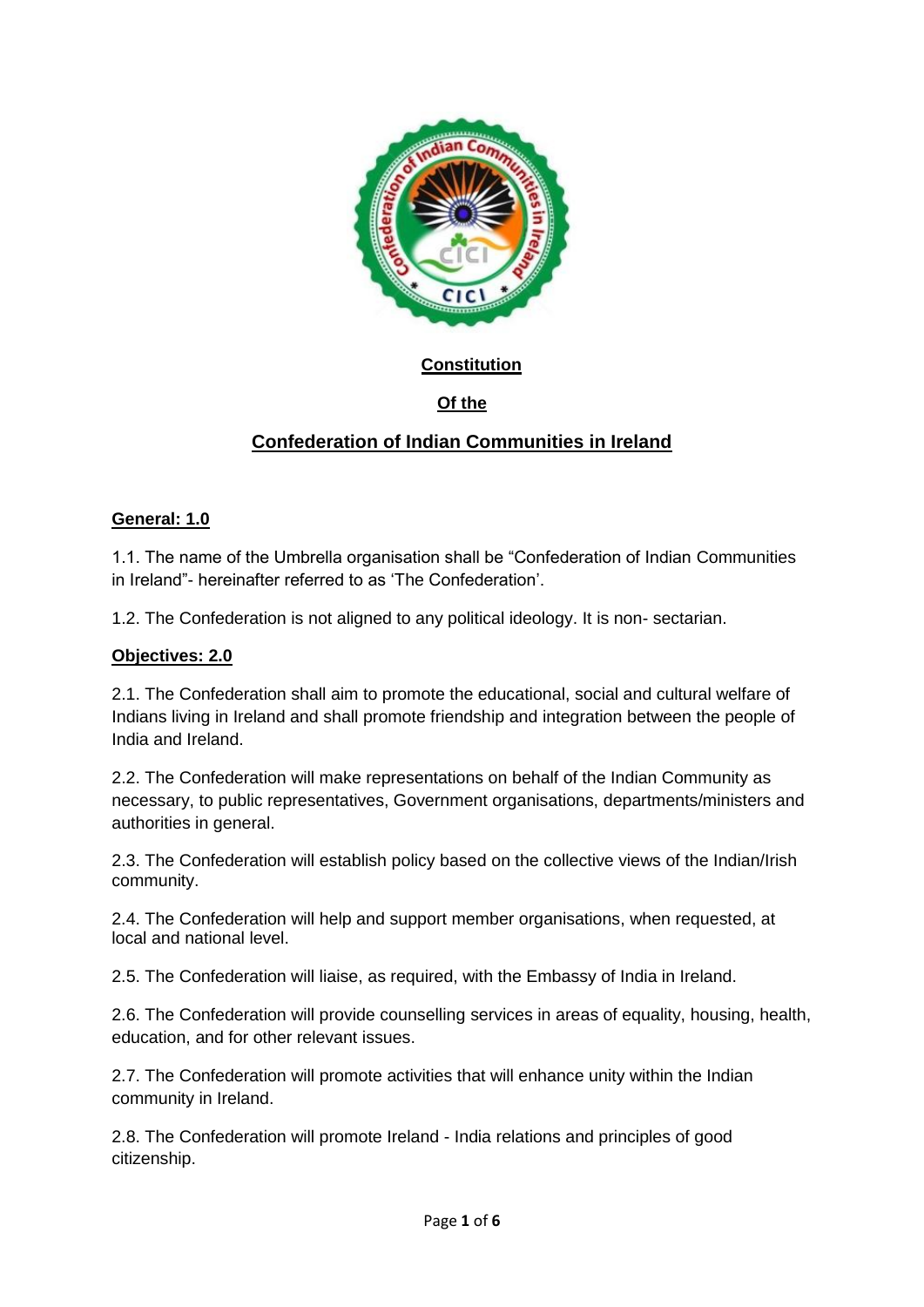

### **Constitution**

# **Of the**

# **Confederation of Indian Communities in Ireland**

#### **General: 1.0**

1.1. The name of the Umbrella organisation shall be "Confederation of Indian Communities in Ireland"- hereinafter referred to as "The Confederation".

1.2. The Confederation is not aligned to any political ideology. It is non- sectarian.

#### **Objectives: 2.0**

2.1. The Confederation shall aim to promote the educational, social and cultural welfare of Indians living in Ireland and shall promote friendship and integration between the people of India and Ireland.

2.2. The Confederation will make representations on behalf of the Indian Community as necessary, to public representatives, Government organisations, departments/ministers and authorities in general.

2.3. The Confederation will establish policy based on the collective views of the Indian/Irish community.

2.4. The Confederation will help and support member organisations, when requested, at local and national level.

2.5. The Confederation will liaise, as required, with the Embassy of India in Ireland.

2.6. The Confederation will provide counselling services in areas of equality, housing, health, education, and for other relevant issues.

2.7. The Confederation will promote activities that will enhance unity within the Indian community in Ireland.

2.8. The Confederation will promote Ireland - India relations and principles of good citizenship.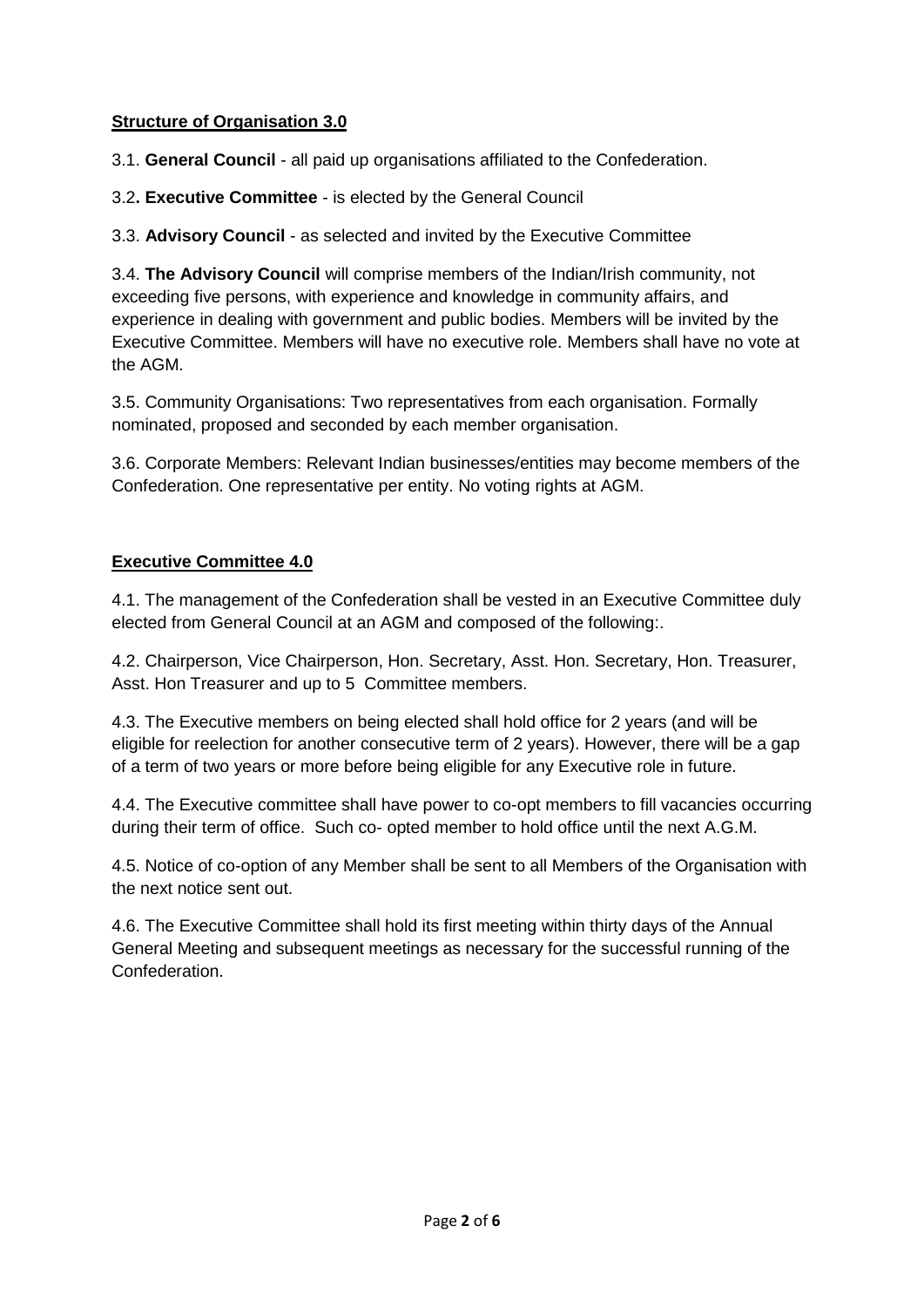#### **Structure of Organisation 3.0**

3.1. **General Council** - all paid up organisations affiliated to the Confederation.

3.2**. Executive Committee** - is elected by the General Council

3.3. **Advisory Council** - as selected and invited by the Executive Committee

3.4. **The Advisory Council** will comprise members of the Indian/Irish community, not exceeding five persons, with experience and knowledge in community affairs, and experience in dealing with government and public bodies. Members will be invited by the Executive Committee. Members will have no executive role. Members shall have no vote at the AGM.

3.5. Community Organisations: Two representatives from each organisation. Formally nominated, proposed and seconded by each member organisation.

3.6. Corporate Members: Relevant Indian businesses/entities may become members of the Confederation. One representative per entity. No voting rights at AGM.

# **Executive Committee 4.0**

4.1. The management of the Confederation shall be vested in an Executive Committee duly elected from General Council at an AGM and composed of the following:.

4.2. Chairperson, Vice Chairperson, Hon. Secretary, Asst. Hon. Secretary, Hon. Treasurer, Asst. Hon Treasurer and up to 5 Committee members.

4.3. The Executive members on being elected shall hold office for 2 years (and will be eligible for reelection for another consecutive term of 2 years). However, there will be a gap of a term of two years or more before being eligible for any Executive role in future.

4.4. The Executive committee shall have power to co-opt members to fill vacancies occurring during their term of office. Such co- opted member to hold office until the next A.G.M.

4.5. Notice of co-option of any Member shall be sent to all Members of the Organisation with the next notice sent out.

4.6. The Executive Committee shall hold its first meeting within thirty days of the Annual General Meeting and subsequent meetings as necessary for the successful running of the Confederation.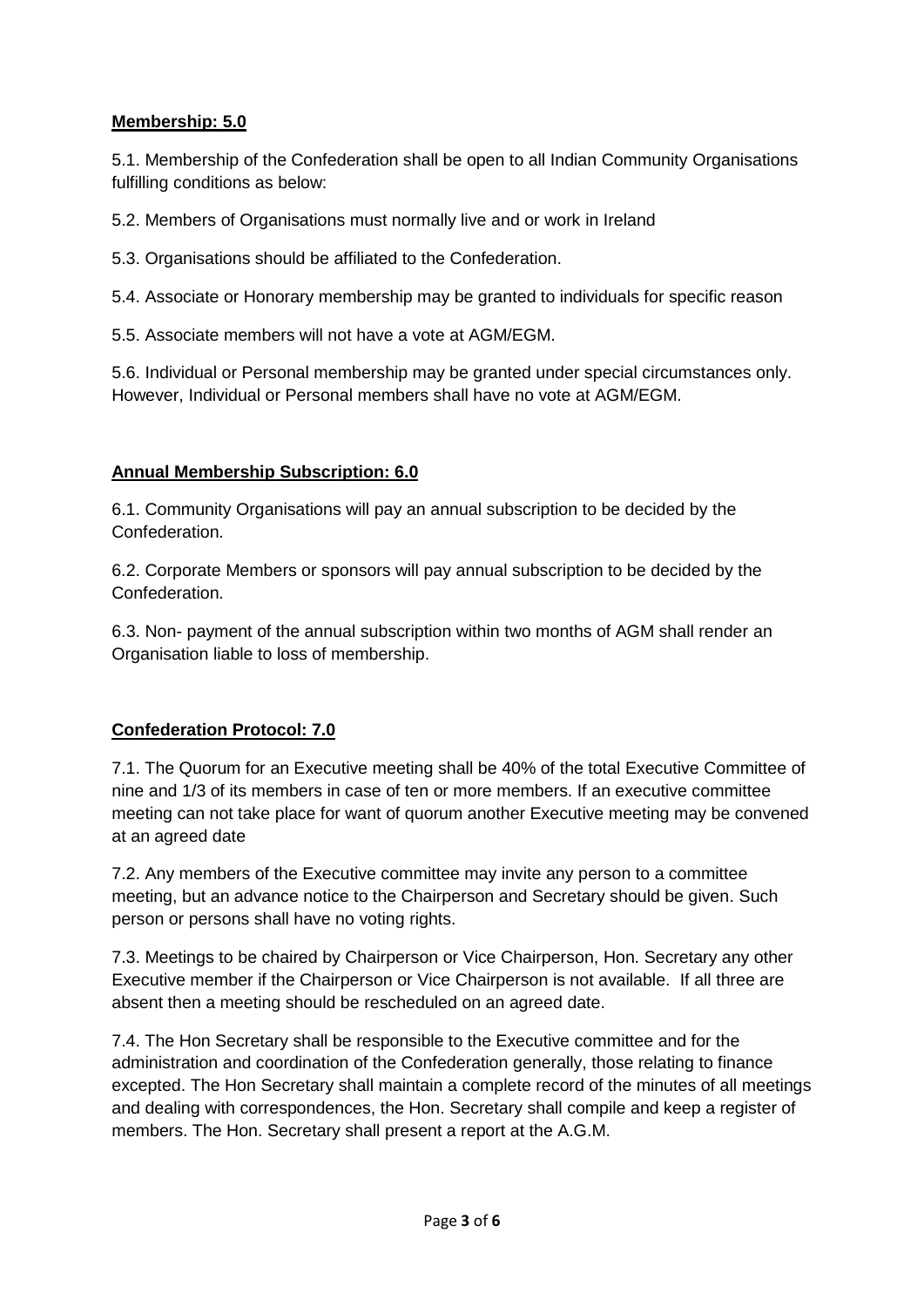#### **Membership: 5.0**

5.1. Membership of the Confederation shall be open to all Indian Community Organisations fulfilling conditions as below:

5.2. Members of Organisations must normally live and or work in Ireland

5.3. Organisations should be affiliated to the Confederation.

5.4. Associate or Honorary membership may be granted to individuals for specific reason

5.5. Associate members will not have a vote at AGM/EGM.

5.6. Individual or Personal membership may be granted under special circumstances only. However, Individual or Personal members shall have no vote at AGM/EGM.

### **Annual Membership Subscription: 6.0**

6.1. Community Organisations will pay an annual subscription to be decided by the Confederation.

6.2. Corporate Members or sponsors will pay annual subscription to be decided by the Confederation.

6.3. Non- payment of the annual subscription within two months of AGM shall render an Organisation liable to loss of membership.

#### **Confederation Protocol: 7.0**

7.1. The Quorum for an Executive meeting shall be 40% of the total Executive Committee of nine and 1/3 of its members in case of ten or more members. If an executive committee meeting can not take place for want of quorum another Executive meeting may be convened at an agreed date

7.2. Any members of the Executive committee may invite any person to a committee meeting, but an advance notice to the Chairperson and Secretary should be given. Such person or persons shall have no voting rights.

7.3. Meetings to be chaired by Chairperson or Vice Chairperson, Hon. Secretary any other Executive member if the Chairperson or Vice Chairperson is not available. If all three are absent then a meeting should be rescheduled on an agreed date.

7.4. The Hon Secretary shall be responsible to the Executive committee and for the administration and coordination of the Confederation generally, those relating to finance excepted. The Hon Secretary shall maintain a complete record of the minutes of all meetings and dealing with correspondences, the Hon. Secretary shall compile and keep a register of members. The Hon. Secretary shall present a report at the A.G.M.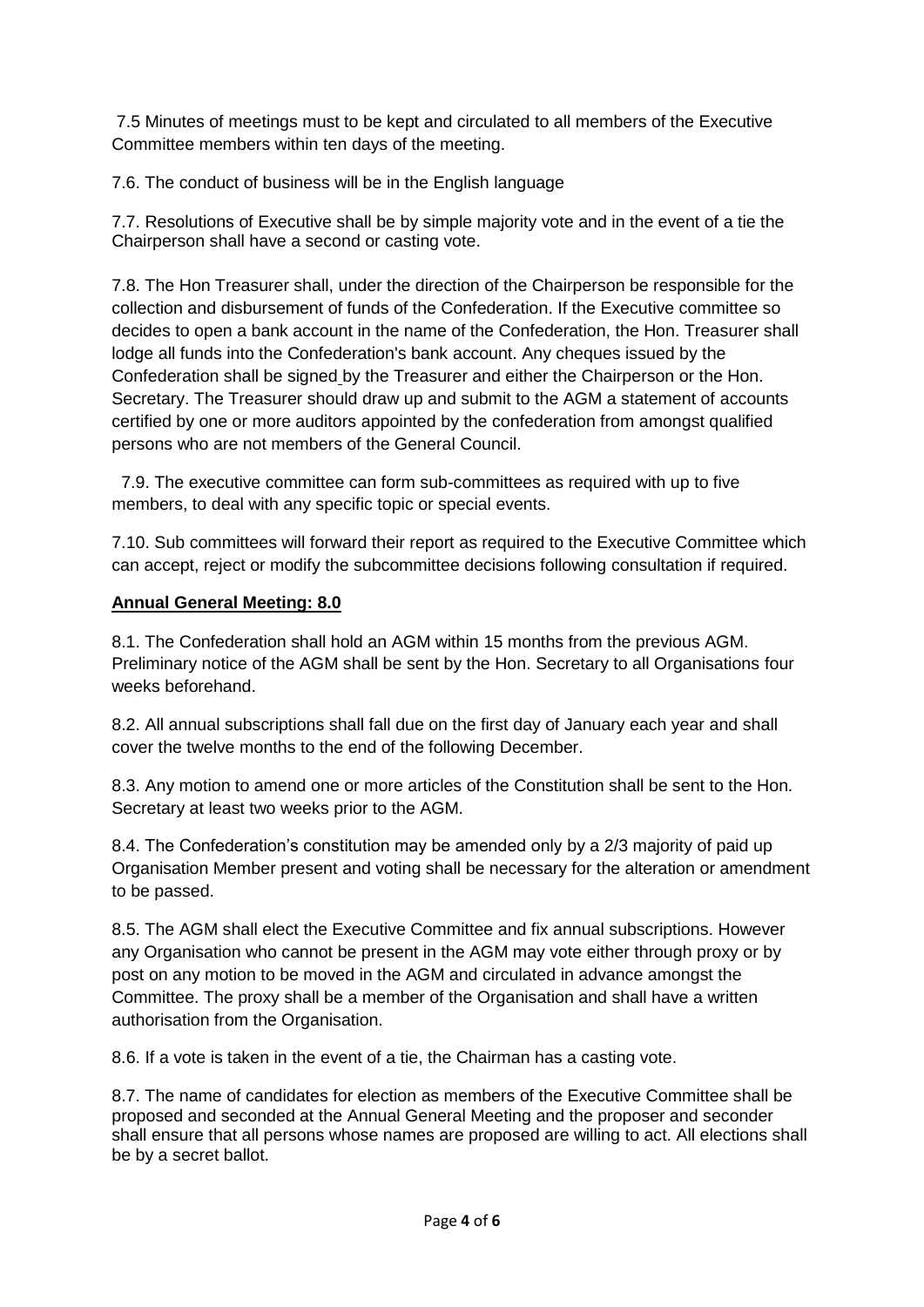7.5 Minutes of meetings must to be kept and circulated to all members of the Executive Committee members within ten days of the meeting.

7.6. The conduct of business will be in the English language

7.7. Resolutions of Executive shall be by simple majority vote and in the event of a tie the Chairperson shall have a second or casting vote.

7.8. The Hon Treasurer shall, under the direction of the Chairperson be responsible for the collection and disbursement of funds of the Confederation. If the Executive committee so decides to open a bank account in the name of the Confederation, the Hon. Treasurer shall lodge all funds into the Confederation's bank account. Any cheques issued by the Confederation shall be signed by the Treasurer and either the Chairperson or the Hon. Secretary. The Treasurer should draw up and submit to the AGM a statement of accounts certified by one or more auditors appointed by the confederation from amongst qualified persons who are not members of the General Council.

 7.9. The executive committee can form sub-committees as required with up to five members, to deal with any specific topic or special events.

7.10. Sub committees will forward their report as required to the Executive Committee which can accept, reject or modify the subcommittee decisions following consultation if required.

#### **Annual General Meeting: 8.0**

8.1. The Confederation shall hold an AGM within 15 months from the previous AGM. Preliminary notice of the AGM shall be sent by the Hon. Secretary to all Organisations four weeks beforehand.

8.2. All annual subscriptions shall fall due on the first day of January each year and shall cover the twelve months to the end of the following December.

8.3. Any motion to amend one or more articles of the Constitution shall be sent to the Hon. Secretary at least two weeks prior to the AGM.

8.4. The Confederation"s constitution may be amended only by a 2/3 majority of paid up Organisation Member present and voting shall be necessary for the alteration or amendment to be passed.

8.5. The AGM shall elect the Executive Committee and fix annual subscriptions. However any Organisation who cannot be present in the AGM may vote either through proxy or by post on any motion to be moved in the AGM and circulated in advance amongst the Committee. The proxy shall be a member of the Organisation and shall have a written authorisation from the Organisation.

8.6. If a vote is taken in the event of a tie, the Chairman has a casting vote.

8.7. The name of candidates for election as members of the Executive Committee shall be proposed and seconded at the Annual General Meeting and the proposer and seconder shall ensure that all persons whose names are proposed are willing to act. All elections shall be by a secret ballot.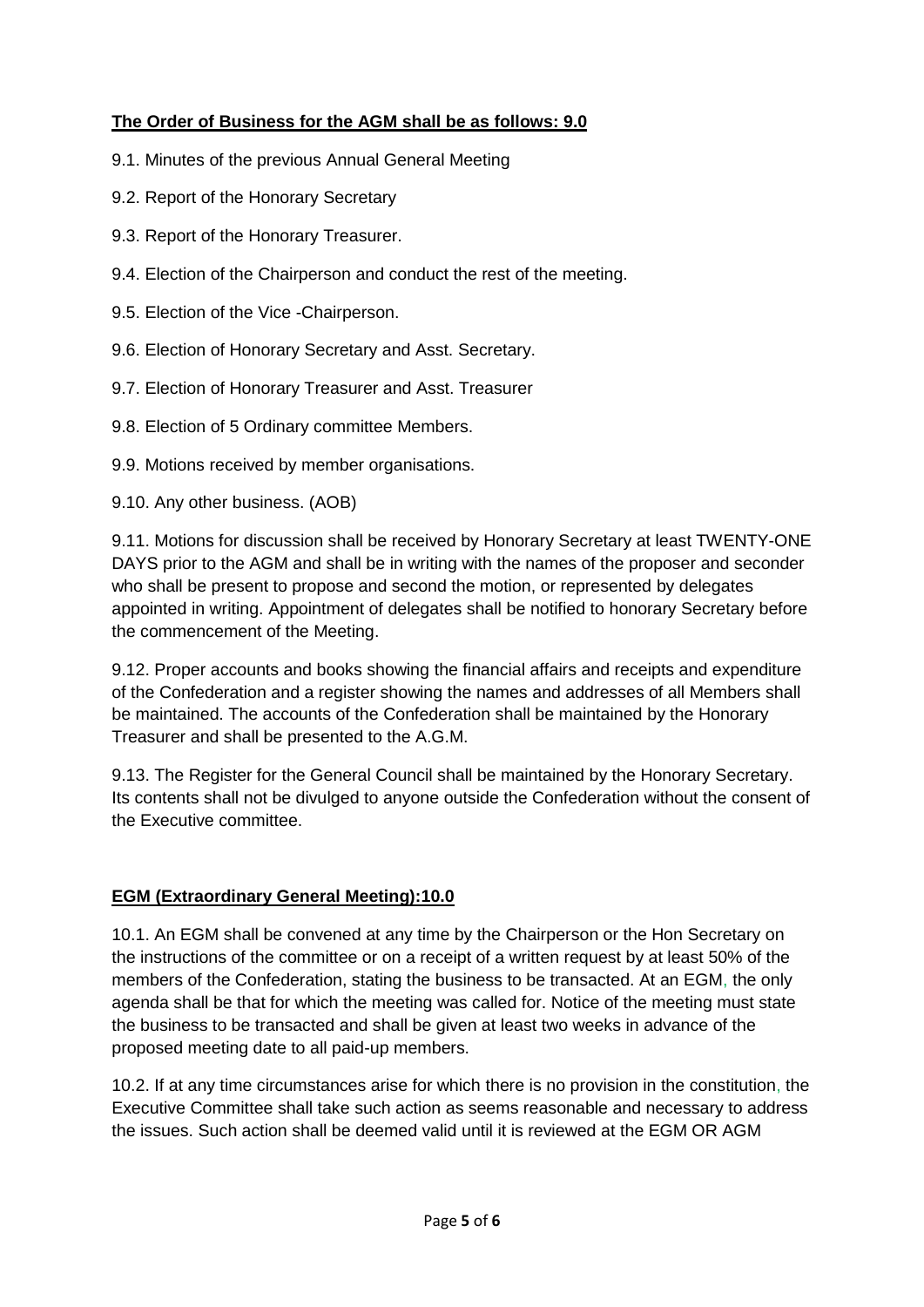## **The Order of Business for the AGM shall be as follows: 9.0**

- 9.1. Minutes of the previous Annual General Meeting
- 9.2. Report of the Honorary Secretary
- 9.3. Report of the Honorary Treasurer.
- 9.4. Election of the Chairperson and conduct the rest of the meeting.
- 9.5. Election of the Vice -Chairperson.
- 9.6. Election of Honorary Secretary and Asst. Secretary.
- 9.7. Election of Honorary Treasurer and Asst. Treasurer
- 9.8. Election of 5 Ordinary committee Members.
- 9.9. Motions received by member organisations.
- 9.10. Any other business. (AOB)

9.11. Motions for discussion shall be received by Honorary Secretary at least TWENTY-ONE DAYS prior to the AGM and shall be in writing with the names of the proposer and seconder who shall be present to propose and second the motion, or represented by delegates appointed in writing. Appointment of delegates shall be notified to honorary Secretary before the commencement of the Meeting.

9.12. Proper accounts and books showing the financial affairs and receipts and expenditure of the Confederation and a register showing the names and addresses of all Members shall be maintained. The accounts of the Confederation shall be maintained by the Honorary Treasurer and shall be presented to the A.G.M.

9.13. The Register for the General Council shall be maintained by the Honorary Secretary. Its contents shall not be divulged to anyone outside the Confederation without the consent of the Executive committee.

#### **EGM (Extraordinary General Meeting):10.0**

10.1. An EGM shall be convened at any time by the Chairperson or the Hon Secretary on the instructions of the committee or on a receipt of a written request by at least 50% of the members of the Confederation, stating the business to be transacted. At an EGM, the only agenda shall be that for which the meeting was called for. Notice of the meeting must state the business to be transacted and shall be given at least two weeks in advance of the proposed meeting date to all paid-up members.

10.2. If at any time circumstances arise for which there is no provision in the constitution, the Executive Committee shall take such action as seems reasonable and necessary to address the issues. Such action shall be deemed valid until it is reviewed at the EGM OR AGM